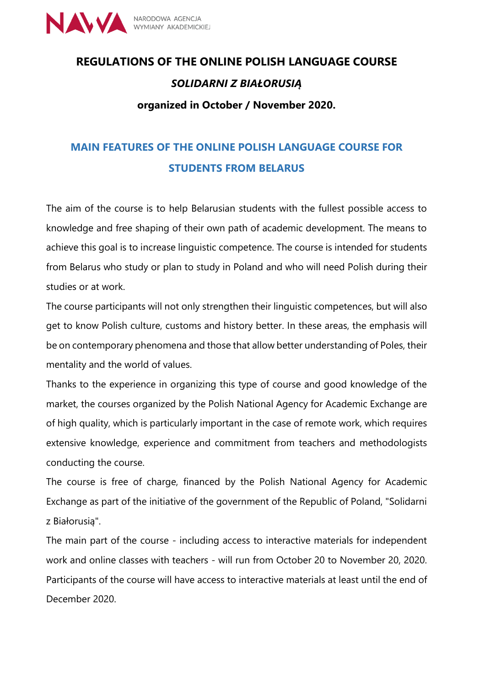

# **REGULATIONS OF THE ONLINE POLISH LANGUAGE COURSE** *SOLIDARNI Z BIAŁORUSIĄ* **organized in October / November 2020.**

# **MAIN FEATURES OF THE ONLINE POLISH LANGUAGE COURSE FOR STUDENTS FROM BELARUS**

The aim of the course is to help Belarusian students with the fullest possible access to knowledge and free shaping of their own path of academic development. The means to achieve this goal is to increase linguistic competence. The course is intended for students from Belarus who study or plan to study in Poland and who will need Polish during their studies or at work.

The course participants will not only strengthen their linguistic competences, but will also get to know Polish culture, customs and history better. In these areas, the emphasis will be on contemporary phenomena and those that allow better understanding of Poles, their mentality and the world of values.

Thanks to the experience in organizing this type of course and good knowledge of the market, the courses organized by the Polish National Agency for Academic Exchange are of high quality, which is particularly important in the case of remote work, which requires extensive knowledge, experience and commitment from teachers and methodologists conducting the course.

The course is free of charge, financed by the Polish National Agency for Academic Exchange as part of the initiative of the government of the Republic of Poland, "Solidarni z Białorusią".

The main part of the course - including access to interactive materials for independent work and online classes with teachers - will run from October 20 to November 20, 2020. Participants of the course will have access to interactive materials at least until the end of December 2020.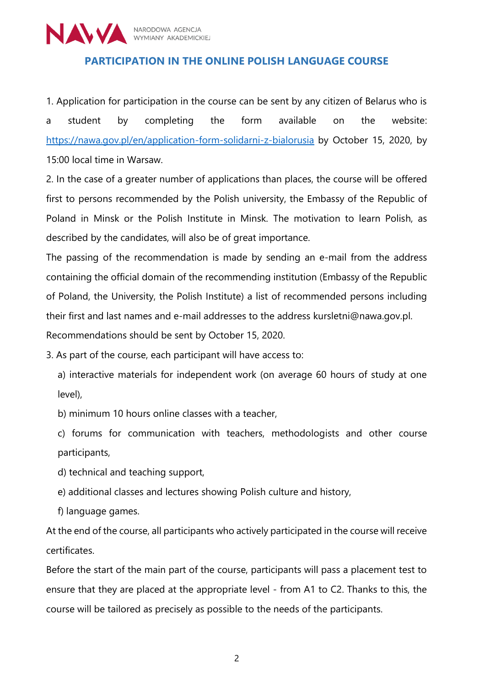

#### **PARTICIPATION IN THE ONLINE POLISH LANGUAGE COURSE**

1. Application for participation in the course can be sent by any citizen of Belarus who is a student by completing the form available on the website: <https://nawa.gov.pl/en/application-form-solidarni-z-bialorusia> by October 15, 2020, by 15:00 local time in Warsaw.

2. In the case of a greater number of applications than places, the course will be offered first to persons recommended by the Polish university, the Embassy of the Republic of Poland in Minsk or the Polish Institute in Minsk. The motivation to learn Polish, as described by the candidates, will also be of great importance.

The passing of the recommendation is made by sending an e-mail from the address containing the official domain of the recommending institution (Embassy of the Republic of Poland, the University, the Polish Institute) a list of recommended persons including their first and last names and e-mail addresses to the address [kursletni@nawa.gov.pl.](mailto:kursletni@nawa.gov.pl) Recommendations should be sent by October 15, 2020.

3. As part of the course, each participant will have access to:

a) interactive materials for independent work (on average 60 hours of study at one level),

b) minimum 10 hours online classes with a teacher,

c) forums for communication with teachers, methodologists and other course participants,

d) technical and teaching support,

e) additional classes and lectures showing Polish culture and history,

f) language games.

At the end of the course, all participants who actively participated in the course will receive certificates.

Before the start of the main part of the course, participants will pass a placement test to ensure that they are placed at the appropriate level - from A1 to C2. Thanks to this, the course will be tailored as precisely as possible to the needs of the participants.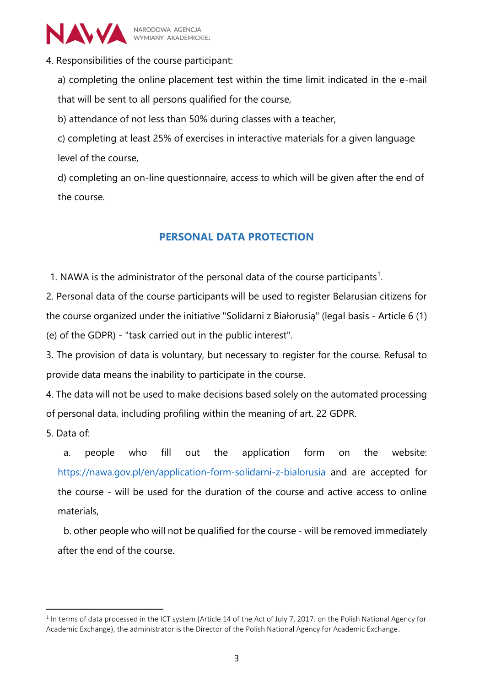

4. Responsibilities of the course participant:

a) completing the online placement test within the time limit indicated in the e-mail that will be sent to all persons qualified for the course,

b) attendance of not less than 50% during classes with a teacher,

c) completing at least 25% of exercises in interactive materials for a given language level of the course,

d) completing an on-line questionnaire, access to which will be given after the end of the course.

## **PERSONAL DATA PROTECTION**

1. NAWA is the administrator of the personal data of the course participants<sup>1</sup>.

2. Personal data of the course participants will be used to register Belarusian citizens for the course organized under the initiative "Solidarni z Białorusią" (legal basis - Article 6 (1) (e) of the GDPR) - "task carried out in the public interest".

3. The provision of data is voluntary, but necessary to register for the course. Refusal to provide data means the inability to participate in the course.

4. The data will not be used to make decisions based solely on the automated processing of personal data, including profiling within the meaning of art. 22 GDPR.

5. Data of:

 $\overline{a}$ 

a. people who fill out the application form on the website: <https://nawa.gov.pl/en/application-form-solidarni-z-bialorusia> and are accepted for the course - will be used for the duration of the course and active access to online materials,

b. other people who will not be qualified for the course - will be removed immediately after the end of the course.

 $1$  In terms of data processed in the ICT system (Article 14 of the Act of July 7, 2017. on the Polish National Agency for Academic Exchange), the administrator is the Director of the Polish National Agency for Academic Exchange.